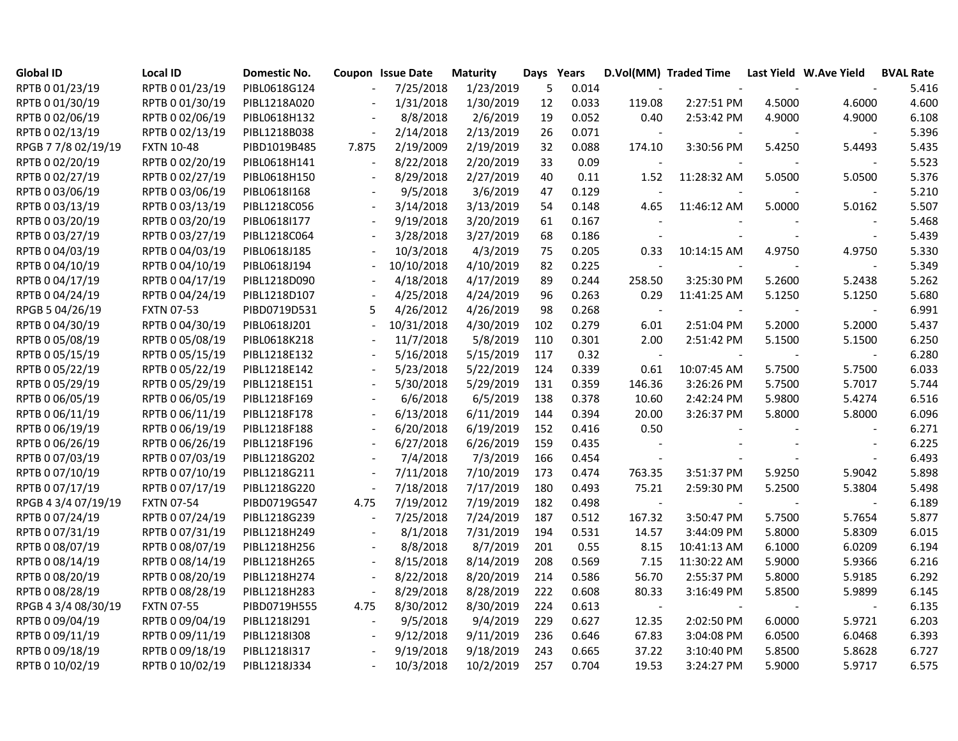| Global ID           | <b>Local ID</b>   | Domestic No. |        | Coupon Issue Date | <b>Maturity</b> | Days Years |       |                          | D.Vol(MM) Traded Time Last Yield W.Ave Yield |                          |        | <b>BVAL Rate</b> |
|---------------------|-------------------|--------------|--------|-------------------|-----------------|------------|-------|--------------------------|----------------------------------------------|--------------------------|--------|------------------|
| RPTB 0 01/23/19     | RPTB 0 01/23/19   | PIBL0618G124 |        | 7/25/2018         | 1/23/2019       | 5          | 0.014 |                          |                                              |                          |        | 5.416            |
| RPTB 0 01/30/19     | RPTB 0 01/30/19   | PIBL1218A020 |        | 1/31/2018         | 1/30/2019       | 12         | 0.033 | 119.08                   | 2:27:51 PM                                   | 4.5000                   | 4.6000 | 4.600            |
| RPTB 0 02/06/19     | RPTB 0 02/06/19   | PIBL0618H132 |        | 8/8/2018          | 2/6/2019        | 19         | 0.052 | 0.40                     | 2:53:42 PM                                   | 4.9000                   | 4.9000 | 6.108            |
| RPTB 0 02/13/19     | RPTB 0 02/13/19   | PIBL1218B038 |        | 2/14/2018         | 2/13/2019       | 26         | 0.071 |                          |                                              |                          |        | 5.396            |
| RPGB 7 7/8 02/19/19 | <b>FXTN 10-48</b> | PIBD1019B485 | 7.875  | 2/19/2009         | 2/19/2019       | 32         | 0.088 | 174.10                   | 3:30:56 PM                                   | 5.4250                   | 5.4493 | 5.435            |
| RPTB 0 02/20/19     | RPTB 0 02/20/19   | PIBL0618H141 | $\sim$ | 8/22/2018         | 2/20/2019       | 33         | 0.09  |                          |                                              |                          |        | 5.523            |
| RPTB 0 02/27/19     | RPTB 0 02/27/19   | PIBL0618H150 |        | 8/29/2018         | 2/27/2019       | 40         | 0.11  | 1.52                     | 11:28:32 AM                                  | 5.0500                   | 5.0500 | 5.376            |
| RPTB 0 03/06/19     | RPTB 0 03/06/19   | PIBL0618I168 |        | 9/5/2018          | 3/6/2019        | 47         | 0.129 |                          |                                              |                          |        | 5.210            |
| RPTB 0 03/13/19     | RPTB 0 03/13/19   | PIBL1218C056 |        | 3/14/2018         | 3/13/2019       | 54         | 0.148 | 4.65                     | 11:46:12 AM                                  | 5.0000                   | 5.0162 | 5.507            |
| RPTB 0 03/20/19     | RPTB 0 03/20/19   | PIBL0618I177 |        | 9/19/2018         | 3/20/2019       | 61         | 0.167 |                          |                                              |                          |        | 5.468            |
| RPTB 0 03/27/19     | RPTB 0 03/27/19   | PIBL1218C064 |        | 3/28/2018         | 3/27/2019       | 68         | 0.186 |                          |                                              | $\sim$                   | $\sim$ | 5.439            |
| RPTB 0 04/03/19     | RPTB 0 04/03/19   | PIBL0618J185 |        | 10/3/2018         | 4/3/2019        | 75         | 0.205 | 0.33                     | 10:14:15 AM                                  | 4.9750                   | 4.9750 | 5.330            |
| RPTB 0 04/10/19     | RPTB 0 04/10/19   | PIBL0618J194 |        | 10/10/2018        | 4/10/2019       | 82         | 0.225 |                          |                                              |                          |        | 5.349            |
| RPTB 0 04/17/19     | RPTB 0 04/17/19   | PIBL1218D090 |        | 4/18/2018         | 4/17/2019       | 89         | 0.244 | 258.50                   | 3:25:30 PM                                   | 5.2600                   | 5.2438 | 5.262            |
| RPTB 0 04/24/19     | RPTB 0 04/24/19   | PIBL1218D107 |        | 4/25/2018         | 4/24/2019       | 96         | 0.263 | 0.29                     | 11:41:25 AM                                  | 5.1250                   | 5.1250 | 5.680            |
| RPGB 5 04/26/19     | <b>FXTN 07-53</b> | PIBD0719D531 | 5      | 4/26/2012         | 4/26/2019       | 98         | 0.268 | $\sim$                   |                                              |                          |        | 6.991            |
| RPTB 0 04/30/19     | RPTB 0 04/30/19   | PIBL0618J201 |        | 10/31/2018        | 4/30/2019       | 102        | 0.279 | 6.01                     | 2:51:04 PM                                   | 5.2000                   | 5.2000 | 5.437            |
| RPTB 0 05/08/19     | RPTB 0 05/08/19   | PIBL0618K218 |        | 11/7/2018         | 5/8/2019        | 110        | 0.301 | 2.00                     | 2:51:42 PM                                   | 5.1500                   | 5.1500 | 6.250            |
| RPTB 0 05/15/19     | RPTB 0 05/15/19   | PIBL1218E132 |        | 5/16/2018         | 5/15/2019       | 117        | 0.32  | $\sim$                   |                                              |                          |        | 6.280            |
| RPTB 0 05/22/19     | RPTB 0 05/22/19   | PIBL1218E142 |        | 5/23/2018         | 5/22/2019       | 124        | 0.339 | 0.61                     | 10:07:45 AM                                  | 5.7500                   | 5.7500 | 6.033            |
| RPTB 0 05/29/19     | RPTB 0 05/29/19   | PIBL1218E151 |        | 5/30/2018         | 5/29/2019       | 131        | 0.359 | 146.36                   | 3:26:26 PM                                   | 5.7500                   | 5.7017 | 5.744            |
| RPTB 0 06/05/19     | RPTB 0 06/05/19   | PIBL1218F169 |        | 6/6/2018          | 6/5/2019        | 138        | 0.378 | 10.60                    | 2:42:24 PM                                   | 5.9800                   | 5.4274 | 6.516            |
| RPTB 0 06/11/19     | RPTB 0 06/11/19   | PIBL1218F178 |        | 6/13/2018         | 6/11/2019       | 144        | 0.394 | 20.00                    | 3:26:37 PM                                   | 5.8000                   | 5.8000 | 6.096            |
| RPTB 0 06/19/19     | RPTB 0 06/19/19   | PIBL1218F188 |        | 6/20/2018         | 6/19/2019       | 152        | 0.416 | 0.50                     |                                              |                          |        | 6.271            |
| RPTB 0 06/26/19     | RPTB 0 06/26/19   | PIBL1218F196 |        | 6/27/2018         | 6/26/2019       | 159        | 0.435 |                          |                                              |                          |        | 6.225            |
| RPTB 0 07/03/19     | RPTB 0 07/03/19   | PIBL1218G202 |        | 7/4/2018          | 7/3/2019        | 166        | 0.454 | $\overline{\phantom{a}}$ |                                              | $\sim$                   |        | 6.493            |
| RPTB 0 07/10/19     | RPTB 0 07/10/19   | PIBL1218G211 |        | 7/11/2018         | 7/10/2019       | 173        | 0.474 | 763.35                   | 3:51:37 PM                                   | 5.9250                   | 5.9042 | 5.898            |
| RPTB 0 07/17/19     | RPTB 0 07/17/19   | PIBL1218G220 |        | 7/18/2018         | 7/17/2019       | 180        | 0.493 | 75.21                    | 2:59:30 PM                                   | 5.2500                   | 5.3804 | 5.498            |
| RPGB 4 3/4 07/19/19 | <b>FXTN 07-54</b> | PIBD0719G547 | 4.75   | 7/19/2012         | 7/19/2019       | 182        | 0.498 |                          |                                              |                          |        | 6.189            |
| RPTB 0 07/24/19     | RPTB 0 07/24/19   | PIBL1218G239 | $\sim$ | 7/25/2018         | 7/24/2019       | 187        | 0.512 | 167.32                   | 3:50:47 PM                                   | 5.7500                   | 5.7654 | 5.877            |
| RPTB 0 07/31/19     | RPTB 0 07/31/19   | PIBL1218H249 |        | 8/1/2018          | 7/31/2019       | 194        | 0.531 | 14.57                    | 3:44:09 PM                                   | 5.8000                   | 5.8309 | 6.015            |
| RPTB 0 08/07/19     | RPTB 0 08/07/19   | PIBL1218H256 |        | 8/8/2018          | 8/7/2019        | 201        | 0.55  | 8.15                     | 10:41:13 AM                                  | 6.1000                   | 6.0209 | 6.194            |
| RPTB 0 08/14/19     | RPTB 0 08/14/19   | PIBL1218H265 |        | 8/15/2018         | 8/14/2019       | 208        | 0.569 | 7.15                     | 11:30:22 AM                                  | 5.9000                   | 5.9366 | 6.216            |
| RPTB 0 08/20/19     | RPTB 0 08/20/19   | PIBL1218H274 |        | 8/22/2018         | 8/20/2019       | 214        | 0.586 | 56.70                    | 2:55:37 PM                                   | 5.8000                   | 5.9185 | 6.292            |
| RPTB 0 08/28/19     | RPTB 0 08/28/19   | PIBL1218H283 |        | 8/29/2018         | 8/28/2019       | 222        | 0.608 | 80.33                    | 3:16:49 PM                                   | 5.8500                   | 5.9899 | 6.145            |
| RPGB 4 3/4 08/30/19 | <b>FXTN 07-55</b> | PIBD0719H555 | 4.75   | 8/30/2012         | 8/30/2019       | 224        | 0.613 | $\sim$                   | $\blacksquare$                               | $\overline{\phantom{a}}$ | $\sim$ | 6.135            |
| RPTB 0 09/04/19     | RPTB 0 09/04/19   | PIBL1218I291 |        | 9/5/2018          | 9/4/2019        | 229        | 0.627 | 12.35                    | 2:02:50 PM                                   | 6.0000                   | 5.9721 | 6.203            |
| RPTB 0 09/11/19     | RPTB 0 09/11/19   | PIBL1218I308 |        | 9/12/2018         | 9/11/2019       | 236        | 0.646 | 67.83                    | 3:04:08 PM                                   | 6.0500                   | 6.0468 | 6.393            |
| RPTB 0 09/18/19     | RPTB 0 09/18/19   | PIBL1218I317 |        | 9/19/2018         | 9/18/2019       | 243        | 0.665 | 37.22                    | 3:10:40 PM                                   | 5.8500                   | 5.8628 | 6.727            |
| RPTB 0 10/02/19     | RPTB 0 10/02/19   | PIBL1218J334 |        | 10/3/2018         | 10/2/2019       | 257        | 0.704 | 19.53                    | 3:24:27 PM                                   | 5.9000                   | 5.9717 | 6.575            |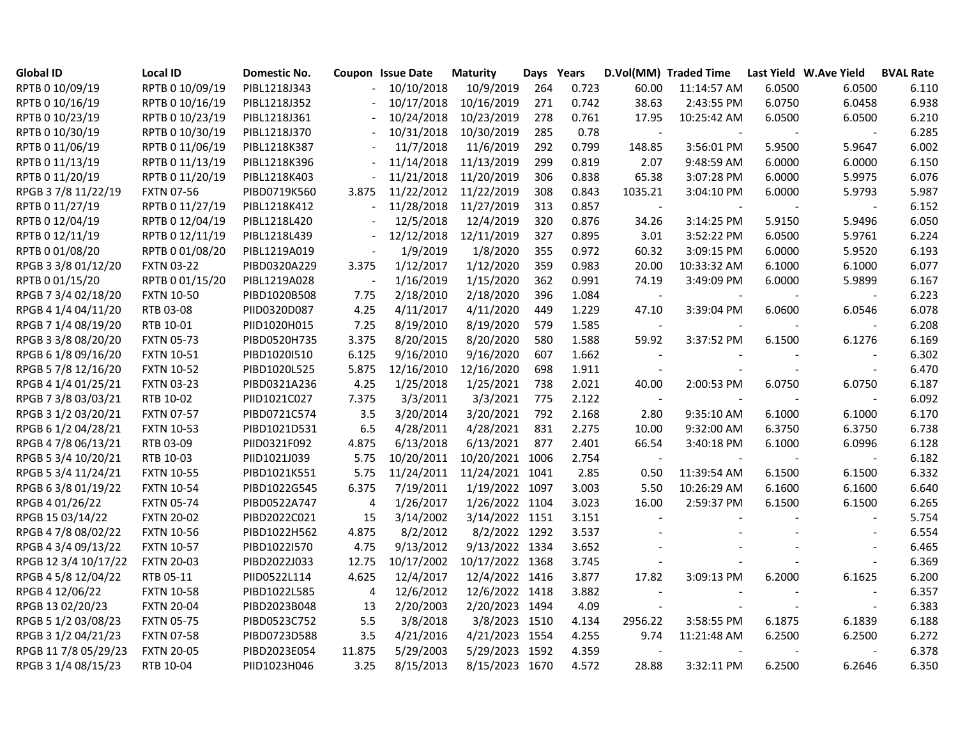| <b>Global ID</b>     | <b>Local ID</b>   | Domestic No. |                | <b>Coupon Issue Date</b> | <b>Maturity</b> | Days Years |       |                          | D.Vol(MM) Traded Time |        | Last Yield W.Ave Yield   | <b>BVAL Rate</b> |
|----------------------|-------------------|--------------|----------------|--------------------------|-----------------|------------|-------|--------------------------|-----------------------|--------|--------------------------|------------------|
| RPTB 0 10/09/19      | RPTB 0 10/09/19   | PIBL1218J343 | $\blacksquare$ | 10/10/2018               | 10/9/2019       | 264        | 0.723 | 60.00                    | 11:14:57 AM           | 6.0500 | 6.0500                   | 6.110            |
| RPTB 0 10/16/19      | RPTB 0 10/16/19   | PIBL1218J352 |                | 10/17/2018               | 10/16/2019      | 271        | 0.742 | 38.63                    | 2:43:55 PM            | 6.0750 | 6.0458                   | 6.938            |
| RPTB 0 10/23/19      | RPTB 0 10/23/19   | PIBL1218J361 |                | 10/24/2018               | 10/23/2019      | 278        | 0.761 | 17.95                    | 10:25:42 AM           | 6.0500 | 6.0500                   | 6.210            |
| RPTB 0 10/30/19      | RPTB 0 10/30/19   | PIBL1218J370 |                | 10/31/2018               | 10/30/2019      | 285        | 0.78  | $\sim$                   |                       |        |                          | 6.285            |
| RPTB 0 11/06/19      | RPTB 0 11/06/19   | PIBL1218K387 |                | 11/7/2018                | 11/6/2019       | 292        | 0.799 | 148.85                   | 3:56:01 PM            | 5.9500 | 5.9647                   | 6.002            |
| RPTB 0 11/13/19      | RPTB 0 11/13/19   | PIBL1218K396 |                | 11/14/2018               | 11/13/2019      | 299        | 0.819 | 2.07                     | 9:48:59 AM            | 6.0000 | 6.0000                   | 6.150            |
| RPTB 0 11/20/19      | RPTB 0 11/20/19   | PIBL1218K403 |                | 11/21/2018               | 11/20/2019      | 306        | 0.838 | 65.38                    | 3:07:28 PM            | 6.0000 | 5.9975                   | 6.076            |
| RPGB 37/8 11/22/19   | <b>FXTN 07-56</b> | PIBD0719K560 | 3.875          | 11/22/2012               | 11/22/2019      | 308        | 0.843 | 1035.21                  | 3:04:10 PM            | 6.0000 | 5.9793                   | 5.987            |
| RPTB 0 11/27/19      | RPTB 0 11/27/19   | PIBL1218K412 |                | 11/28/2018               | 11/27/2019      | 313        | 0.857 | $\overline{\phantom{a}}$ |                       |        | $\overline{\phantom{a}}$ | 6.152            |
| RPTB 0 12/04/19      | RPTB 0 12/04/19   | PIBL1218L420 |                | 12/5/2018                | 12/4/2019       | 320        | 0.876 | 34.26                    | 3:14:25 PM            | 5.9150 | 5.9496                   | 6.050            |
| RPTB 0 12/11/19      | RPTB 0 12/11/19   | PIBL1218L439 |                | 12/12/2018               | 12/11/2019      | 327        | 0.895 | 3.01                     | 3:52:22 PM            | 6.0500 | 5.9761                   | 6.224            |
| RPTB 0 01/08/20      | RPTB 0 01/08/20   | PIBL1219A019 | $\sim$         | 1/9/2019                 | 1/8/2020        | 355        | 0.972 | 60.32                    | 3:09:15 PM            | 6.0000 | 5.9520                   | 6.193            |
| RPGB 3 3/8 01/12/20  | <b>FXTN 03-22</b> | PIBD0320A229 | 3.375          | 1/12/2017                | 1/12/2020       | 359        | 0.983 | 20.00                    | 10:33:32 AM           | 6.1000 | 6.1000                   | 6.077            |
| RPTB 0 01/15/20      | RPTB 0 01/15/20   | PIBL1219A028 |                | 1/16/2019                | 1/15/2020       | 362        | 0.991 | 74.19                    | 3:49:09 PM            | 6.0000 | 5.9899                   | 6.167            |
| RPGB 7 3/4 02/18/20  | <b>FXTN 10-50</b> | PIBD1020B508 | 7.75           | 2/18/2010                | 2/18/2020       | 396        | 1.084 | $\blacksquare$           |                       |        |                          | 6.223            |
| RPGB 4 1/4 04/11/20  | RTB 03-08         | PIID0320D087 | 4.25           | 4/11/2017                | 4/11/2020       | 449        | 1.229 | 47.10                    | 3:39:04 PM            | 6.0600 | 6.0546                   | 6.078            |
| RPGB 7 1/4 08/19/20  | RTB 10-01         | PIID1020H015 | 7.25           | 8/19/2010                | 8/19/2020       | 579        | 1.585 | $\overline{\phantom{a}}$ |                       |        |                          | 6.208            |
| RPGB 3 3/8 08/20/20  | <b>FXTN 05-73</b> | PIBD0520H735 | 3.375          | 8/20/2015                | 8/20/2020       | 580        | 1.588 | 59.92                    | 3:37:52 PM            | 6.1500 | 6.1276                   | 6.169            |
| RPGB 6 1/8 09/16/20  | <b>FXTN 10-51</b> | PIBD1020I510 | 6.125          | 9/16/2010                | 9/16/2020       | 607        | 1.662 |                          |                       |        |                          | 6.302            |
| RPGB 5 7/8 12/16/20  | <b>FXTN 10-52</b> | PIBD1020L525 | 5.875          | 12/16/2010               | 12/16/2020      | 698        | 1.911 | $\overline{\phantom{a}}$ |                       | $\sim$ | $\blacksquare$           | 6.470            |
| RPGB 4 1/4 01/25/21  | <b>FXTN 03-23</b> | PIBD0321A236 | 4.25           | 1/25/2018                | 1/25/2021       | 738        | 2.021 | 40.00                    | 2:00:53 PM            | 6.0750 | 6.0750                   | 6.187            |
| RPGB 7 3/8 03/03/21  | RTB 10-02         | PIID1021C027 | 7.375          | 3/3/2011                 | 3/3/2021        | 775        | 2.122 | $\sim$                   | $\sim$                | $\sim$ | $\sim$                   | 6.092            |
| RPGB 3 1/2 03/20/21  | <b>FXTN 07-57</b> | PIBD0721C574 | 3.5            | 3/20/2014                | 3/20/2021       | 792        | 2.168 | 2.80                     | 9:35:10 AM            | 6.1000 | 6.1000                   | 6.170            |
| RPGB 6 1/2 04/28/21  | <b>FXTN 10-53</b> | PIBD1021D531 | 6.5            | 4/28/2011                | 4/28/2021       | 831        | 2.275 | 10.00                    | 9:32:00 AM            | 6.3750 | 6.3750                   | 6.738            |
| RPGB 4 7/8 06/13/21  | RTB 03-09         | PIID0321F092 | 4.875          | 6/13/2018                | 6/13/2021       | 877        | 2.401 | 66.54                    | 3:40:18 PM            | 6.1000 | 6.0996                   | 6.128            |
| RPGB 5 3/4 10/20/21  | RTB 10-03         | PIID1021J039 | 5.75           | 10/20/2011               | 10/20/2021 1006 |            | 2.754 | $\blacksquare$           |                       |        |                          | 6.182            |
| RPGB 5 3/4 11/24/21  | <b>FXTN 10-55</b> | PIBD1021K551 | 5.75           | 11/24/2011               | 11/24/2021 1041 |            | 2.85  | 0.50                     | 11:39:54 AM           | 6.1500 | 6.1500                   | 6.332            |
| RPGB 63/801/19/22    | <b>FXTN 10-54</b> | PIBD1022G545 | 6.375          | 7/19/2011                | 1/19/2022 1097  |            | 3.003 | 5.50                     | 10:26:29 AM           | 6.1600 | 6.1600                   | 6.640            |
| RPGB 4 01/26/22      | <b>FXTN 05-74</b> | PIBD0522A747 | 4              | 1/26/2017                | 1/26/2022 1104  |            | 3.023 | 16.00                    | 2:59:37 PM            | 6.1500 | 6.1500                   | 6.265            |
| RPGB 15 03/14/22     | <b>FXTN 20-02</b> | PIBD2022C021 | 15             | 3/14/2002                | 3/14/2022 1151  |            | 3.151 | $\overline{\phantom{a}}$ |                       |        |                          | 5.754            |
| RPGB 4 7/8 08/02/22  | <b>FXTN 10-56</b> | PIBD1022H562 | 4.875          | 8/2/2012                 | 8/2/2022 1292   |            | 3.537 |                          |                       |        |                          | 6.554            |
| RPGB 4 3/4 09/13/22  | <b>FXTN 10-57</b> | PIBD1022I570 | 4.75           | 9/13/2012                | 9/13/2022 1334  |            | 3.652 |                          |                       |        |                          | 6.465            |
| RPGB 12 3/4 10/17/22 | <b>FXTN 20-03</b> | PIBD2022J033 | 12.75          | 10/17/2002               | 10/17/2022 1368 |            | 3.745 | $\overline{\phantom{a}}$ |                       | $\sim$ | $\overline{a}$           | 6.369            |
| RPGB 4 5/8 12/04/22  | RTB 05-11         | PIID0522L114 | 4.625          | 12/4/2017                | 12/4/2022 1416  |            | 3.877 | 17.82                    | 3:09:13 PM            | 6.2000 | 6.1625                   | 6.200            |
| RPGB 4 12/06/22      | <b>FXTN 10-58</b> | PIBD1022L585 | 4              | 12/6/2012                | 12/6/2022 1418  |            | 3.882 |                          |                       |        |                          | 6.357            |
| RPGB 13 02/20/23     | <b>FXTN 20-04</b> | PIBD2023B048 | 13             | 2/20/2003                | 2/20/2023 1494  |            | 4.09  | $\sim$                   | $\blacksquare$        | $\sim$ | $\blacksquare$           | 6.383            |
| RPGB 5 1/2 03/08/23  | <b>FXTN 05-75</b> | PIBD0523C752 | 5.5            | 3/8/2018                 | 3/8/2023 1510   |            | 4.134 | 2956.22                  | 3:58:55 PM            | 6.1875 | 6.1839                   | 6.188            |
| RPGB 3 1/2 04/21/23  | <b>FXTN 07-58</b> | PIBD0723D588 | 3.5            | 4/21/2016                | 4/21/2023 1554  |            | 4.255 | 9.74                     | 11:21:48 AM           | 6.2500 | 6.2500                   | 6.272            |
| RPGB 11 7/8 05/29/23 | <b>FXTN 20-05</b> | PIBD2023E054 | 11.875         | 5/29/2003                | 5/29/2023 1592  |            | 4.359 |                          |                       |        | $\blacksquare$           | 6.378            |
| RPGB 3 1/4 08/15/23  | RTB 10-04         | PIID1023H046 | 3.25           | 8/15/2013                | 8/15/2023 1670  |            | 4.572 | 28.88                    | 3:32:11 PM            | 6.2500 | 6.2646                   | 6.350            |